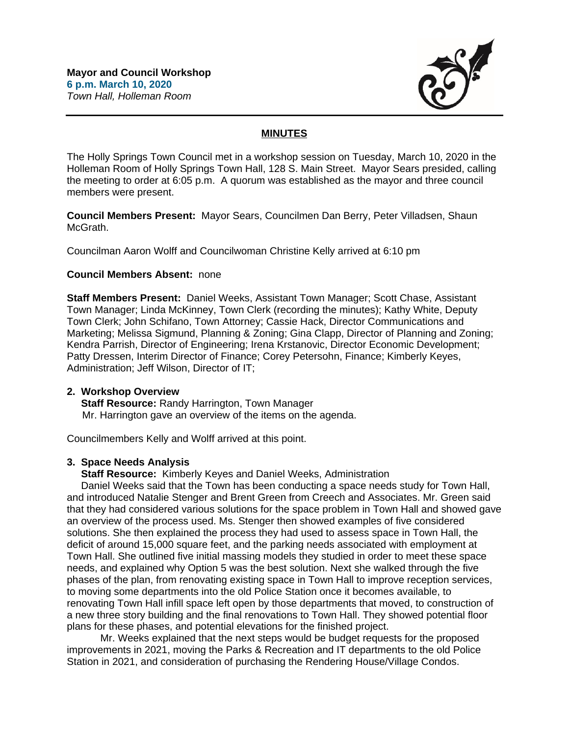

# **MINUTES**

The Holly Springs Town Council met in a workshop session on Tuesday, March 10, 2020 in the Holleman Room of Holly Springs Town Hall, 128 S. Main Street. Mayor Sears presided, calling the meeting to order at 6:05 p.m. A quorum was established as the mayor and three council members were present.

**Council Members Present:** Mayor Sears, Councilmen Dan Berry, Peter Villadsen, Shaun McGrath.

Councilman Aaron Wolff and Councilwoman Christine Kelly arrived at 6:10 pm

### **Council Members Absent:** none

**Staff Members Present:** Daniel Weeks, Assistant Town Manager; Scott Chase, Assistant Town Manager; Linda McKinney, Town Clerk (recording the minutes); Kathy White, Deputy Town Clerk; John Schifano, Town Attorney; Cassie Hack, Director Communications and Marketing; Melissa Sigmund, Planning & Zoning; Gina Clapp, Director of Planning and Zoning; Kendra Parrish, Director of Engineering; Irena Krstanovic, Director Economic Development; Patty Dressen, Interim Director of Finance; Corey Petersohn, Finance; Kimberly Keyes, Administration; Jeff Wilson, Director of IT;

### **2. Workshop Overview**

 **Staff Resource:** Randy Harrington, Town Manager Mr. Harrington gave an overview of the items on the agenda.

Councilmembers Kelly and Wolff arrived at this point.

## **3. Space Needs Analysis**

 **Staff Resource:** Kimberly Keyes and Daniel Weeks, Administration

 Daniel Weeks said that the Town has been conducting a space needs study for Town Hall, and introduced Natalie Stenger and Brent Green from Creech and Associates. Mr. Green said that they had considered various solutions for the space problem in Town Hall and showed gave an overview of the process used. Ms. Stenger then showed examples of five considered solutions. She then explained the process they had used to assess space in Town Hall, the deficit of around 15,000 square feet, and the parking needs associated with employment at Town Hall. She outlined five initial massing models they studied in order to meet these space needs, and explained why Option 5 was the best solution. Next she walked through the five phases of the plan, from renovating existing space in Town Hall to improve reception services, to moving some departments into the old Police Station once it becomes available, to renovating Town Hall infill space left open by those departments that moved, to construction of a new three story building and the final renovations to Town Hall. They showed potential floor plans for these phases, and potential elevations for the finished project.

Mr. Weeks explained that the next steps would be budget requests for the proposed improvements in 2021, moving the Parks & Recreation and IT departments to the old Police Station in 2021, and consideration of purchasing the Rendering House/Village Condos.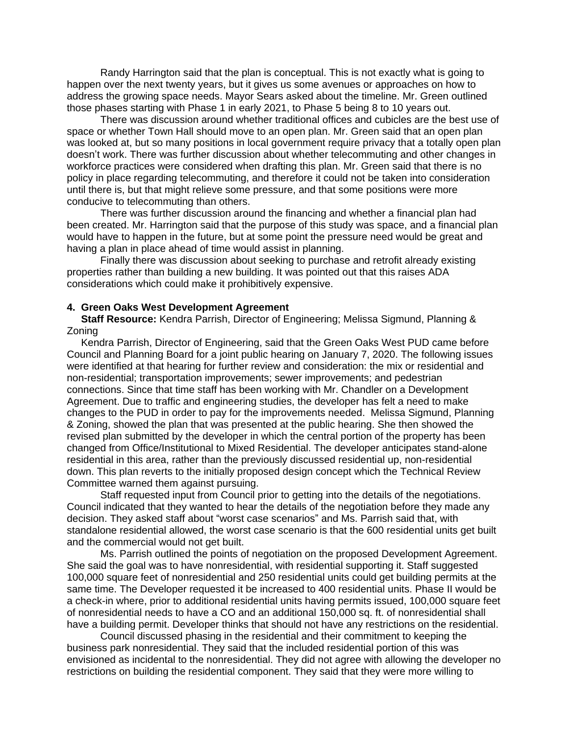Randy Harrington said that the plan is conceptual. This is not exactly what is going to happen over the next twenty years, but it gives us some avenues or approaches on how to address the growing space needs. Mayor Sears asked about the timeline. Mr. Green outlined those phases starting with Phase 1 in early 2021, to Phase 5 being 8 to 10 years out.

There was discussion around whether traditional offices and cubicles are the best use of space or whether Town Hall should move to an open plan. Mr. Green said that an open plan was looked at, but so many positions in local government require privacy that a totally open plan doesn't work. There was further discussion about whether telecommuting and other changes in workforce practices were considered when drafting this plan. Mr. Green said that there is no policy in place regarding telecommuting, and therefore it could not be taken into consideration until there is, but that might relieve some pressure, and that some positions were more conducive to telecommuting than others.

There was further discussion around the financing and whether a financial plan had been created. Mr. Harrington said that the purpose of this study was space, and a financial plan would have to happen in the future, but at some point the pressure need would be great and having a plan in place ahead of time would assist in planning.

Finally there was discussion about seeking to purchase and retrofit already existing properties rather than building a new building. It was pointed out that this raises ADA considerations which could make it prohibitively expensive.

### **4. Green Oaks West Development Agreement**

 **Staff Resource:** Kendra Parrish, Director of Engineering; Melissa Sigmund, Planning & Zoning

 Kendra Parrish, Director of Engineering, said that the Green Oaks West PUD came before Council and Planning Board for a joint public hearing on January 7, 2020. The following issues were identified at that hearing for further review and consideration: the mix or residential and non-residential; transportation improvements; sewer improvements; and pedestrian connections. Since that time staff has been working with Mr. Chandler on a Development Agreement. Due to traffic and engineering studies, the developer has felt a need to make changes to the PUD in order to pay for the improvements needed. Melissa Sigmund, Planning & Zoning, showed the plan that was presented at the public hearing. She then showed the revised plan submitted by the developer in which the central portion of the property has been changed from Office/Institutional to Mixed Residential. The developer anticipates stand-alone residential in this area, rather than the previously discussed residential up, non-residential down. This plan reverts to the initially proposed design concept which the Technical Review Committee warned them against pursuing.

Staff requested input from Council prior to getting into the details of the negotiations. Council indicated that they wanted to hear the details of the negotiation before they made any decision. They asked staff about "worst case scenarios" and Ms. Parrish said that, with standalone residential allowed, the worst case scenario is that the 600 residential units get built and the commercial would not get built.

Ms. Parrish outlined the points of negotiation on the proposed Development Agreement. She said the goal was to have nonresidential, with residential supporting it. Staff suggested 100,000 square feet of nonresidential and 250 residential units could get building permits at the same time. The Developer requested it be increased to 400 residential units. Phase II would be a check-in where, prior to additional residential units having permits issued, 100,000 square feet of nonresidential needs to have a CO and an additional 150,000 sq. ft. of nonresidential shall have a building permit. Developer thinks that should not have any restrictions on the residential.

Council discussed phasing in the residential and their commitment to keeping the business park nonresidential. They said that the included residential portion of this was envisioned as incidental to the nonresidential. They did not agree with allowing the developer no restrictions on building the residential component. They said that they were more willing to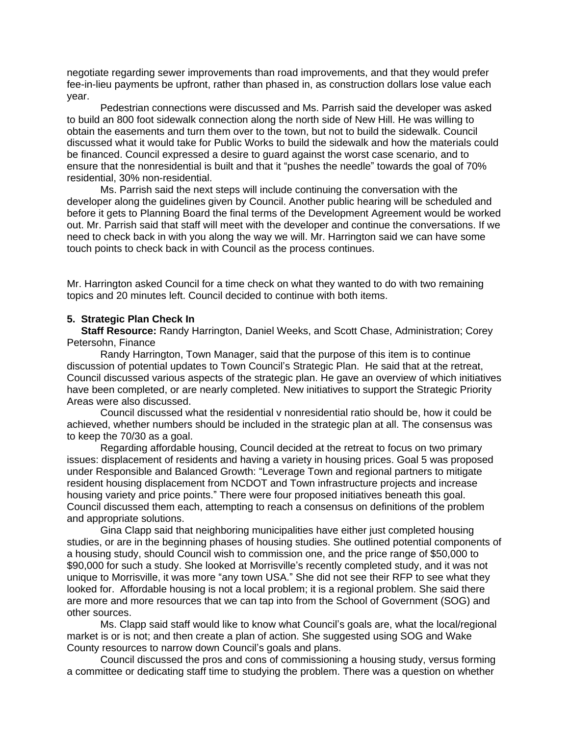negotiate regarding sewer improvements than road improvements, and that they would prefer fee-in-lieu payments be upfront, rather than phased in, as construction dollars lose value each year.

Pedestrian connections were discussed and Ms. Parrish said the developer was asked to build an 800 foot sidewalk connection along the north side of New Hill. He was willing to obtain the easements and turn them over to the town, but not to build the sidewalk. Council discussed what it would take for Public Works to build the sidewalk and how the materials could be financed. Council expressed a desire to guard against the worst case scenario, and to ensure that the nonresidential is built and that it "pushes the needle" towards the goal of 70% residential, 30% non-residential.

Ms. Parrish said the next steps will include continuing the conversation with the developer along the guidelines given by Council. Another public hearing will be scheduled and before it gets to Planning Board the final terms of the Development Agreement would be worked out. Mr. Parrish said that staff will meet with the developer and continue the conversations. If we need to check back in with you along the way we will. Mr. Harrington said we can have some touch points to check back in with Council as the process continues.

Mr. Harrington asked Council for a time check on what they wanted to do with two remaining topics and 20 minutes left. Council decided to continue with both items.

### **5. Strategic Plan Check In**

 **Staff Resource:** Randy Harrington, Daniel Weeks, and Scott Chase, Administration; Corey Petersohn, Finance

 Randy Harrington, Town Manager, said that the purpose of this item is to continue discussion of potential updates to Town Council's Strategic Plan. He said that at the retreat, Council discussed various aspects of the strategic plan. He gave an overview of which initiatives have been completed, or are nearly completed. New initiatives to support the Strategic Priority Areas were also discussed.

Council discussed what the residential v nonresidential ratio should be, how it could be achieved, whether numbers should be included in the strategic plan at all. The consensus was to keep the 70/30 as a goal.

Regarding affordable housing, Council decided at the retreat to focus on two primary issues: displacement of residents and having a variety in housing prices. Goal 5 was proposed under Responsible and Balanced Growth: "Leverage Town and regional partners to mitigate resident housing displacement from NCDOT and Town infrastructure projects and increase housing variety and price points." There were four proposed initiatives beneath this goal. Council discussed them each, attempting to reach a consensus on definitions of the problem and appropriate solutions.

Gina Clapp said that neighboring municipalities have either just completed housing studies, or are in the beginning phases of housing studies. She outlined potential components of a housing study, should Council wish to commission one, and the price range of \$50,000 to \$90,000 for such a study. She looked at Morrisville's recently completed study, and it was not unique to Morrisville, it was more "any town USA." She did not see their RFP to see what they looked for. Affordable housing is not a local problem; it is a regional problem. She said there are more and more resources that we can tap into from the School of Government (SOG) and other sources.

Ms. Clapp said staff would like to know what Council's goals are, what the local/regional market is or is not; and then create a plan of action. She suggested using SOG and Wake County resources to narrow down Council's goals and plans.

Council discussed the pros and cons of commissioning a housing study, versus forming a committee or dedicating staff time to studying the problem. There was a question on whether